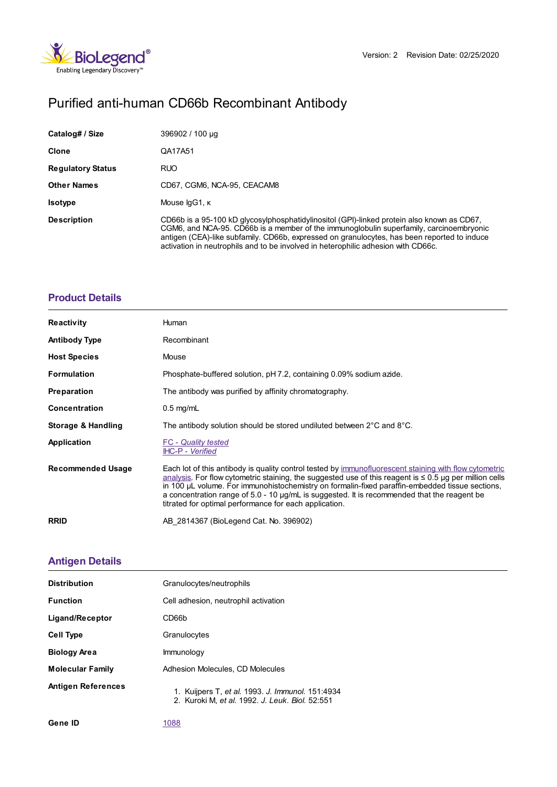

# Purified anti-human CD66b Recombinant Antibody

| Catalog# / Size          | 396902 / 100 µg                                                                                                                                                                                                                                                                                                                                                           |  |
|--------------------------|---------------------------------------------------------------------------------------------------------------------------------------------------------------------------------------------------------------------------------------------------------------------------------------------------------------------------------------------------------------------------|--|
| <b>Clone</b>             | QA17A51                                                                                                                                                                                                                                                                                                                                                                   |  |
| <b>Regulatory Status</b> | <b>RUO</b>                                                                                                                                                                                                                                                                                                                                                                |  |
| <b>Other Names</b>       | CD67, CGM6, NCA-95, CEACAM8                                                                                                                                                                                                                                                                                                                                               |  |
| <b>Isotype</b>           | Mouse IgG1, K                                                                                                                                                                                                                                                                                                                                                             |  |
| <b>Description</b>       | CD66b is a 95-100 kD glycosylphosphatidylinositol (GPI)-linked protein also known as CD67,<br>CGM6, and NCA-95. CD66b is a member of the immunoglobulin superfamily, carcinoembryonic<br>antigen (CEA)-like subfamily. CD66b, expressed on granulocytes, has been reported to induce<br>activation in neutrophils and to be involved in heterophilic adhesion with CD66c. |  |

### **[Product](https://www.biolegend.com/en-us/search-results/purified-anti-human-cd66b-recombinant-antibody-17984?pdf=true&displayInline=true&leftRightMargin=15&topBottomMargin=15&filename=Purified anti-human CD66b Recombinant Antibody.pdf#productDetails) Details**

| <b>Reactivity</b>        | Human                                                                                                                                                                                                                                                                                                                                                                                                                                                                              |
|--------------------------|------------------------------------------------------------------------------------------------------------------------------------------------------------------------------------------------------------------------------------------------------------------------------------------------------------------------------------------------------------------------------------------------------------------------------------------------------------------------------------|
| <b>Antibody Type</b>     | Recombinant                                                                                                                                                                                                                                                                                                                                                                                                                                                                        |
| <b>Host Species</b>      | Mouse                                                                                                                                                                                                                                                                                                                                                                                                                                                                              |
| <b>Formulation</b>       | Phosphate-buffered solution, pH 7.2, containing 0.09% sodium azide.                                                                                                                                                                                                                                                                                                                                                                                                                |
| <b>Preparation</b>       | The antibody was purified by affinity chromatography.                                                                                                                                                                                                                                                                                                                                                                                                                              |
| <b>Concentration</b>     | $0.5 \text{ mg/mL}$                                                                                                                                                                                                                                                                                                                                                                                                                                                                |
| Storage & Handling       | The antibody solution should be stored undiluted between $2^{\circ}$ C and $8^{\circ}$ C.                                                                                                                                                                                                                                                                                                                                                                                          |
| Application              | <b>FC</b> - Quality tested<br>IHC-P - Verified                                                                                                                                                                                                                                                                                                                                                                                                                                     |
| <b>Recommended Usage</b> | Each lot of this antibody is quality control tested by immunofluorescent staining with flow cytometric<br>analysis. For flow cytometric staining, the suggested use of this reagent is $\leq 0.5$ ug per million cells<br>in 100 µL volume. For immunohistochemistry on formalin-fixed paraffin-embedded tissue sections,<br>a concentration range of 5.0 - 10 µg/mL is suggested. It is recommended that the reagent be<br>titrated for optimal performance for each application. |
| <b>RRID</b>              | AB 2814367 (BioLegend Cat. No. 396902)                                                                                                                                                                                                                                                                                                                                                                                                                                             |

## **[Antigen](https://www.biolegend.com/en-us/search-results/purified-anti-human-cd66b-recombinant-antibody-17984?pdf=true&displayInline=true&leftRightMargin=15&topBottomMargin=15&filename=Purified anti-human CD66b Recombinant Antibody.pdf#antigenDetails) Details**

| <b>Distribution</b>       | Granulocytes/neutrophils                                                                            |
|---------------------------|-----------------------------------------------------------------------------------------------------|
| <b>Function</b>           | Cell adhesion, neutrophil activation                                                                |
| Ligand/Receptor           | CD66b                                                                                               |
| <b>Cell Type</b>          | Granulocytes                                                                                        |
| <b>Biology Area</b>       | <b>Immunology</b>                                                                                   |
| <b>Molecular Family</b>   | Adhesion Molecules, CD Molecules                                                                    |
| <b>Antigen References</b> | 1. Kuijpers T, et al. 1993. J. Immunol. 151:4934<br>2. Kuroki M, et al. 1992. J. Leuk. Biol. 52:551 |
| Gene ID                   | 1088                                                                                                |